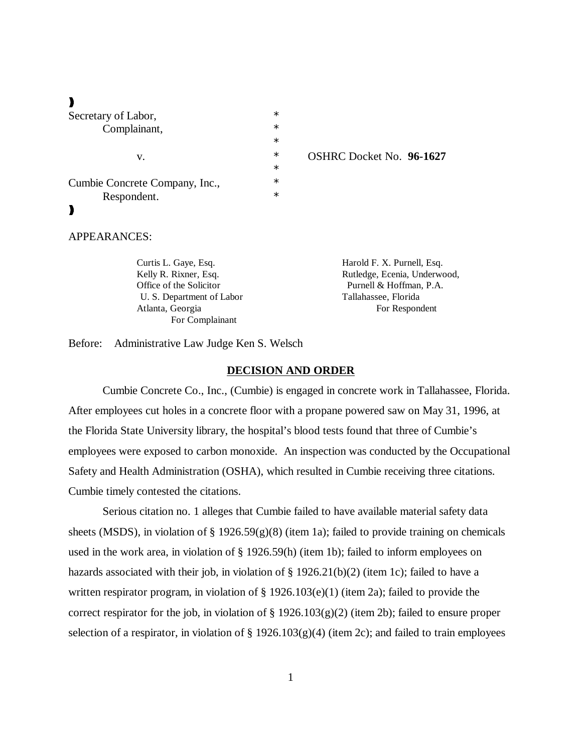$\blacksquare$ 

| Secretary of Labor,            | $\ast$ |
|--------------------------------|--------|
| Complainant,                   | $\ast$ |
|                                | $\ast$ |
| v.                             | $\ast$ |
|                                | $\ast$ |
| Cumbie Concrete Company, Inc., | $\ast$ |
| Respondent.                    | $\ast$ |
|                                |        |

#### OSHRC Docket No. 96-1627

## APPEARANCES:

| Curtis L. Gaye, Esq.      | Harold F. X. Purnell, Esq.   |
|---------------------------|------------------------------|
| Kelly R. Rixner, Esq.     | Rutledge, Ecenia, Underwood, |
| Office of the Solicitor   | Purnell & Hoffman, P.A.      |
| U. S. Department of Labor | Tallahassee, Florida         |
| Atlanta, Georgia          | For Respondent               |
| For Complainant           |                              |

Before: Administrative Law Judge Ken S. Welsch

#### **DECISION AND ORDER**

Cumbie Concrete Co., Inc., (Cumbie) is engaged in concrete work in Tallahassee, Florida. After employees cut holes in a concrete floor with a propane powered saw on May 31, 1996, at the Florida State University library, the hospital's blood tests found that three of Cumbie's employees were exposed to carbon monoxide. An inspection was conducted by the Occupational Safety and Health Administration (OSHA), which resulted in Cumbie receiving three citations. Cumbie timely contested the citations.

Serious citation no. 1 alleges that Cumbie failed to have available material safety data sheets (MSDS), in violation of  $\S 1926.59(g)(8)$  (item 1a); failed to provide training on chemicals used in the work area, in violation of § 1926.59(h) (item 1b); failed to inform employees on hazards associated with their job, in violation of § 1926.21(b)(2) (item 1c); failed to have a written respirator program, in violation of § 1926.103(e)(1) (item 2a); failed to provide the correct respirator for the job, in violation of  $\S 1926.103(g)(2)$  (item 2b); failed to ensure proper selection of a respirator, in violation of  $\S 1926.103(g)(4)$  (item 2c); and failed to train employees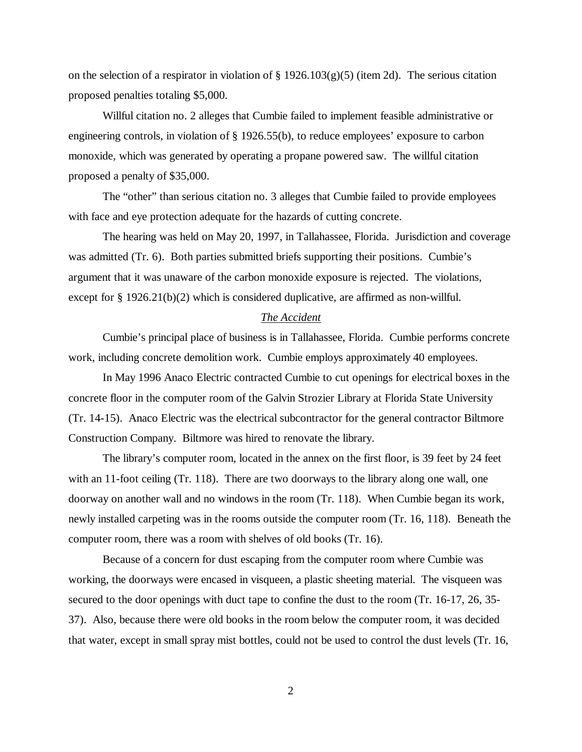on the selection of a respirator in violation of  $\S 1926.103(g)(5)$  (item 2d). The serious citation proposed penalties totaling \$5,000.

Willful citation no. 2 alleges that Cumbie failed to implement feasible administrative or engineering controls, in violation of § 1926.55(b), to reduce employees' exposure to carbon monoxide, which was generated by operating a propane powered saw. The willful citation proposed a penalty of \$35,000.

The "other" than serious citation no. 3 alleges that Cumbie failed to provide employees with face and eye protection adequate for the hazards of cutting concrete.

The hearing was held on May 20, 1997, in Tallahassee, Florida. Jurisdiction and coverage was admitted (Tr. 6). Both parties submitted briefs supporting their positions. Cumbie's argument that it was unaware of the carbon monoxide exposure is rejected. The violations, except for § 1926.21(b)(2) which is considered duplicative, are affirmed as non-willful.

#### *The Accident*

Cumbie's principal place of business is in Tallahassee, Florida. Cumbie performs concrete work, including concrete demolition work. Cumbie employs approximately 40 employees.

In May 1996 Anaco Electric contracted Cumbie to cut openings for electrical boxes in the concrete floor in the computer room of the Galvin Strozier Library at Florida State University (Tr. 14-15). Anaco Electric was the electrical subcontractor for the general contractor Biltmore Construction Company. Biltmore was hired to renovate the library.

The library's computer room, located in the annex on the first floor, is 39 feet by 24 feet with an 11-foot ceiling (Tr. 118). There are two doorways to the library along one wall, one doorway on another wall and no windows in the room (Tr. 118). When Cumbie began its work, newly installed carpeting was in the rooms outside the computer room (Tr. 16, 118). Beneath the computer room, there was a room with shelves of old books (Tr. 16).

Because of a concern for dust escaping from the computer room where Cumbie was working, the doorways were encased in visqueen, a plastic sheeting material. The visqueen was secured to the door openings with duct tape to confine the dust to the room (Tr. 16-17, 26, 35- 37). Also, because there were old books in the room below the computer room, it was decided that water, except in small spray mist bottles, could not be used to control the dust levels (Tr. 16,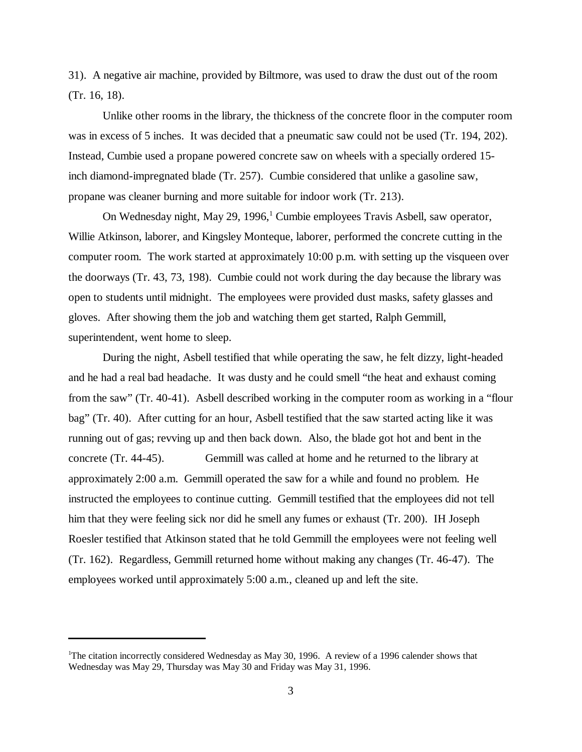31). A negative air machine, provided by Biltmore, was used to draw the dust out of the room (Tr. 16, 18).

Unlike other rooms in the library, the thickness of the concrete floor in the computer room was in excess of 5 inches. It was decided that a pneumatic saw could not be used (Tr. 194, 202). Instead, Cumbie used a propane powered concrete saw on wheels with a specially ordered 15 inch diamond-impregnated blade (Tr. 257). Cumbie considered that unlike a gasoline saw, propane was cleaner burning and more suitable for indoor work (Tr. 213).

On Wednesday night, May 29, 1996,<sup>1</sup> Cumbie employees Travis Asbell, saw operator, Willie Atkinson, laborer, and Kingsley Monteque, laborer, performed the concrete cutting in the computer room. The work started at approximately 10:00 p.m. with setting up the visqueen over the doorways (Tr. 43, 73, 198). Cumbie could not work during the day because the library was open to students until midnight. The employees were provided dust masks, safety glasses and gloves. After showing them the job and watching them get started, Ralph Gemmill, superintendent, went home to sleep.

During the night, Asbell testified that while operating the saw, he felt dizzy, light-headed and he had a real bad headache. It was dusty and he could smell "the heat and exhaust coming from the saw" (Tr. 40-41). Asbell described working in the computer room as working in a "flour bag" (Tr. 40). After cutting for an hour, Asbell testified that the saw started acting like it was running out of gas; revving up and then back down. Also, the blade got hot and bent in the concrete (Tr. 44-45). Gemmill was called at home and he returned to the library at approximately 2:00 a.m. Gemmill operated the saw for a while and found no problem. He instructed the employees to continue cutting. Gemmill testified that the employees did not tell him that they were feeling sick nor did he smell any fumes or exhaust (Tr. 200). IH Joseph Roesler testified that Atkinson stated that he told Gemmill the employees were not feeling well (Tr. 162). Regardless, Gemmill returned home without making any changes (Tr. 46-47). The employees worked until approximately 5:00 a.m., cleaned up and left the site.

<sup>1</sup>The citation incorrectly considered Wednesday as May 30, 1996. A review of a 1996 calender shows that Wednesday was May 29, Thursday was May 30 and Friday was May 31, 1996.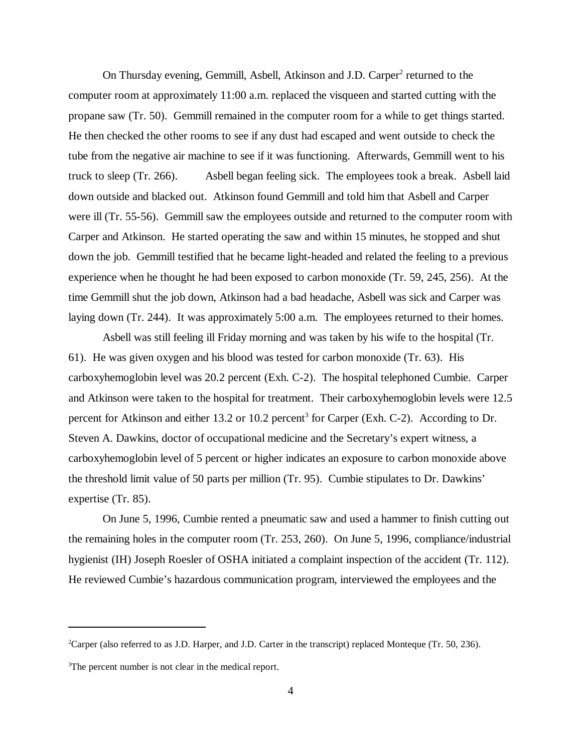On Thursday evening, Gemmill, Asbell, Atkinson and J.D. Carper<sup>2</sup> returned to the computer room at approximately 11:00 a.m. replaced the visqueen and started cutting with the propane saw (Tr. 50). Gemmill remained in the computer room for a while to get things started. He then checked the other rooms to see if any dust had escaped and went outside to check the tube from the negative air machine to see if it was functioning. Afterwards, Gemmill went to his truck to sleep (Tr. 266). Asbell began feeling sick. The employees took a break. Asbell laid down outside and blacked out. Atkinson found Gemmill and told him that Asbell and Carper were ill (Tr. 55-56). Gemmill saw the employees outside and returned to the computer room with Carper and Atkinson. He started operating the saw and within 15 minutes, he stopped and shut down the job. Gemmill testified that he became light-headed and related the feeling to a previous experience when he thought he had been exposed to carbon monoxide (Tr. 59, 245, 256). At the time Gemmill shut the job down, Atkinson had a bad headache, Asbell was sick and Carper was laying down (Tr. 244). It was approximately 5:00 a.m. The employees returned to their homes.

Asbell was still feeling ill Friday morning and was taken by his wife to the hospital (Tr. 61). He was given oxygen and his blood was tested for carbon monoxide (Tr. 63). His carboxyhemoglobin level was 20.2 percent (Exh. C-2). The hospital telephoned Cumbie. Carper and Atkinson were taken to the hospital for treatment. Their carboxyhemoglobin levels were 12.5 percent for Atkinson and either 13.2 or 10.2 percent<sup>3</sup> for Carper (Exh. C-2). According to Dr. Steven A. Dawkins, doctor of occupational medicine and the Secretary's expert witness, a carboxyhemoglobin level of 5 percent or higher indicates an exposure to carbon monoxide above the threshold limit value of 50 parts per million (Tr. 95). Cumbie stipulates to Dr. Dawkins' expertise (Tr. 85).

On June 5, 1996, Cumbie rented a pneumatic saw and used a hammer to finish cutting out the remaining holes in the computer room (Tr. 253, 260). On June 5, 1996, compliance/industrial hygienist (IH) Joseph Roesler of OSHA initiated a complaint inspection of the accident (Tr. 112). He reviewed Cumbie's hazardous communication program, interviewed the employees and the

<sup>2</sup>Carper (also referred to as J.D. Harper, and J.D. Carter in the transcript) replaced Monteque (Tr. 50, 236).

<sup>&</sup>lt;sup>3</sup>The percent number is not clear in the medical report.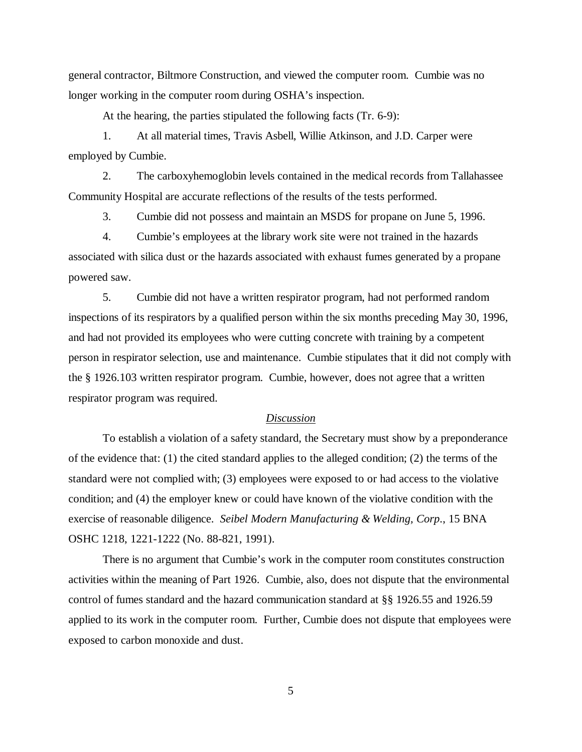general contractor, Biltmore Construction, and viewed the computer room. Cumbie was no longer working in the computer room during OSHA's inspection.

At the hearing, the parties stipulated the following facts (Tr. 6-9):

1. At all material times, Travis Asbell, Willie Atkinson, and J.D. Carper were employed by Cumbie.

2. The carboxyhemoglobin levels contained in the medical records from Tallahassee Community Hospital are accurate reflections of the results of the tests performed.

3. Cumbie did not possess and maintain an MSDS for propane on June 5, 1996.

4. Cumbie's employees at the library work site were not trained in the hazards associated with silica dust or the hazards associated with exhaust fumes generated by a propane powered saw.

5. Cumbie did not have a written respirator program, had not performed random inspections of its respirators by a qualified person within the six months preceding May 30, 1996, and had not provided its employees who were cutting concrete with training by a competent person in respirator selection, use and maintenance. Cumbie stipulates that it did not comply with the § 1926.103 written respirator program. Cumbie, however, does not agree that a written respirator program was required.

## *Discussion*

To establish a violation of a safety standard, the Secretary must show by a preponderance of the evidence that: (1) the cited standard applies to the alleged condition; (2) the terms of the standard were not complied with; (3) employees were exposed to or had access to the violative condition; and (4) the employer knew or could have known of the violative condition with the exercise of reasonable diligence. *Seibel Modern Manufacturing & Welding, Corp*., 15 BNA OSHC 1218, 1221-1222 (No. 88-821, 1991).

There is no argument that Cumbie's work in the computer room constitutes construction activities within the meaning of Part 1926. Cumbie, also, does not dispute that the environmental control of fumes standard and the hazard communication standard at §§ 1926.55 and 1926.59 applied to its work in the computer room. Further, Cumbie does not dispute that employees were exposed to carbon monoxide and dust.

5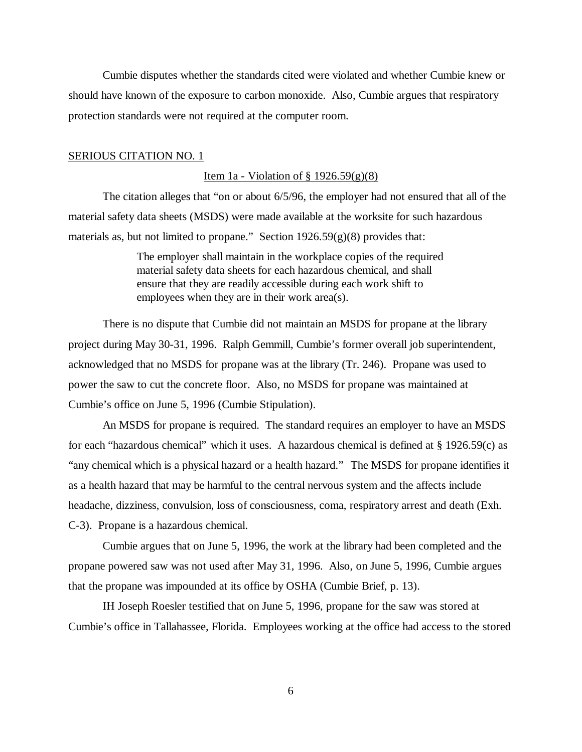Cumbie disputes whether the standards cited were violated and whether Cumbie knew or should have known of the exposure to carbon monoxide. Also, Cumbie argues that respiratory protection standards were not required at the computer room.

## SERIOUS CITATION NO. 1

#### Item 1a - Violation of  $\S 1926.59(g)(8)$

The citation alleges that "on or about 6/5/96, the employer had not ensured that all of the material safety data sheets (MSDS) were made available at the worksite for such hazardous materials as, but not limited to propane." Section 1926.59(g)(8) provides that:

> The employer shall maintain in the workplace copies of the required material safety data sheets for each hazardous chemical, and shall ensure that they are readily accessible during each work shift to employees when they are in their work area(s).

There is no dispute that Cumbie did not maintain an MSDS for propane at the library project during May 30-31, 1996. Ralph Gemmill, Cumbie's former overall job superintendent, acknowledged that no MSDS for propane was at the library (Tr. 246). Propane was used to power the saw to cut the concrete floor. Also, no MSDS for propane was maintained at Cumbie's office on June 5, 1996 (Cumbie Stipulation).

An MSDS for propane is required. The standard requires an employer to have an MSDS for each "hazardous chemical" which it uses. A hazardous chemical is defined at § 1926.59(c) as "any chemical which is a physical hazard or a health hazard." The MSDS for propane identifies it as a health hazard that may be harmful to the central nervous system and the affects include headache, dizziness, convulsion, loss of consciousness, coma, respiratory arrest and death (Exh. C-3). Propane is a hazardous chemical.

Cumbie argues that on June 5, 1996, the work at the library had been completed and the propane powered saw was not used after May 31, 1996. Also, on June 5, 1996, Cumbie argues that the propane was impounded at its office by OSHA (Cumbie Brief, p. 13).

IH Joseph Roesler testified that on June 5, 1996, propane for the saw was stored at Cumbie's office in Tallahassee, Florida. Employees working at the office had access to the stored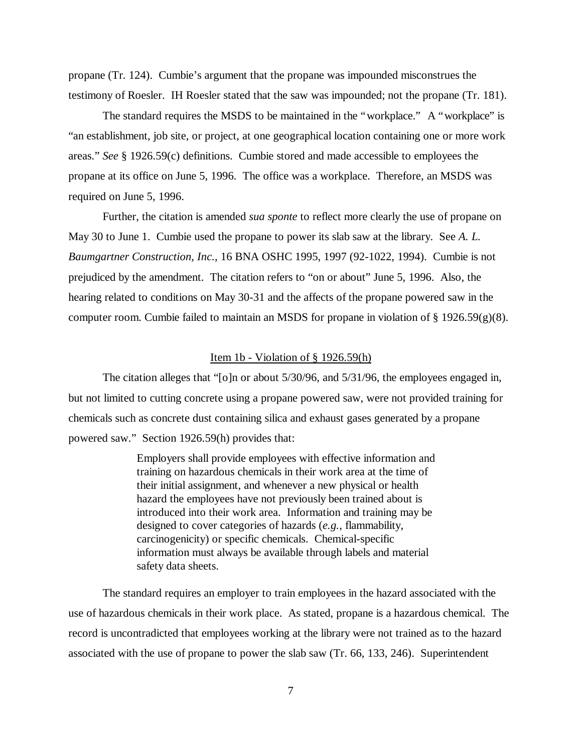propane (Tr. 124). Cumbie's argument that the propane was impounded misconstrues the testimony of Roesler. IH Roesler stated that the saw was impounded; not the propane (Tr. 181).

The standard requires the MSDS to be maintained in the "workplace." A "workplace" is "an establishment, job site, or project, at one geographical location containing one or more work areas." *See* § 1926.59(c) definitions. Cumbie stored and made accessible to employees the propane at its office on June 5, 1996. The office was a workplace. Therefore, an MSDS was required on June 5, 1996.

Further, the citation is amended *sua sponte* to reflect more clearly the use of propane on May 30 to June 1. Cumbie used the propane to power its slab saw at the library. See *A. L. Baumgartner Construction, Inc.*, 16 BNA OSHC 1995, 1997 (92-1022, 1994). Cumbie is not prejudiced by the amendment. The citation refers to "on or about" June 5, 1996. Also, the hearing related to conditions on May 30-31 and the affects of the propane powered saw in the computer room. Cumbie failed to maintain an MSDS for propane in violation of  $\S 1926.59(g)(8)$ .

#### Item 1b - Violation of  $\S$  1926.59(h)

The citation alleges that "[o]n or about 5/30/96, and 5/31/96, the employees engaged in, but not limited to cutting concrete using a propane powered saw, were not provided training for chemicals such as concrete dust containing silica and exhaust gases generated by a propane powered saw." Section 1926.59(h) provides that:

> Employers shall provide employees with effective information and training on hazardous chemicals in their work area at the time of their initial assignment, and whenever a new physical or health hazard the employees have not previously been trained about is introduced into their work area. Information and training may be designed to cover categories of hazards (*e.g.*, flammability, carcinogenicity) or specific chemicals. Chemical-specific information must always be available through labels and material safety data sheets.

The standard requires an employer to train employees in the hazard associated with the use of hazardous chemicals in their work place. As stated, propane is a hazardous chemical. The record is uncontradicted that employees working at the library were not trained as to the hazard associated with the use of propane to power the slab saw (Tr. 66, 133, 246). Superintendent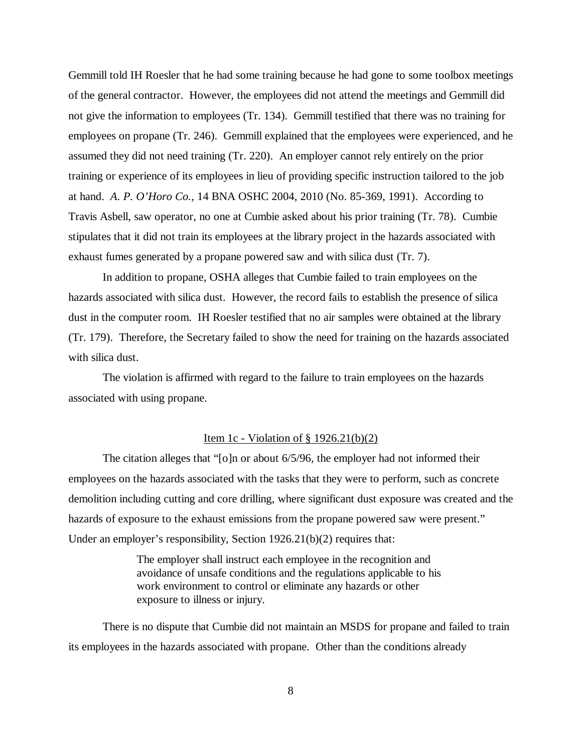Gemmill told IH Roesler that he had some training because he had gone to some toolbox meetings of the general contractor. However, the employees did not attend the meetings and Gemmill did not give the information to employees (Tr. 134). Gemmill testified that there was no training for employees on propane (Tr. 246). Gemmill explained that the employees were experienced, and he assumed they did not need training (Tr. 220). An employer cannot rely entirely on the prior training or experience of its employees in lieu of providing specific instruction tailored to the job at hand. *A. P. O'Horo Co.*, 14 BNA OSHC 2004, 2010 (No. 85-369, 1991). According to Travis Asbell, saw operator, no one at Cumbie asked about his prior training (Tr. 78). Cumbie stipulates that it did not train its employees at the library project in the hazards associated with exhaust fumes generated by a propane powered saw and with silica dust (Tr. 7).

In addition to propane, OSHA alleges that Cumbie failed to train employees on the hazards associated with silica dust. However, the record fails to establish the presence of silica dust in the computer room. IH Roesler testified that no air samples were obtained at the library (Tr. 179). Therefore, the Secretary failed to show the need for training on the hazards associated with silica dust.

The violation is affirmed with regard to the failure to train employees on the hazards associated with using propane.

## Item 1c - Violation of  $\S$  1926.21(b)(2)

The citation alleges that "[o]n or about 6/5/96, the employer had not informed their employees on the hazards associated with the tasks that they were to perform, such as concrete demolition including cutting and core drilling, where significant dust exposure was created and the hazards of exposure to the exhaust emissions from the propane powered saw were present." Under an employer's responsibility, Section 1926.21(b)(2) requires that:

> The employer shall instruct each employee in the recognition and avoidance of unsafe conditions and the regulations applicable to his work environment to control or eliminate any hazards or other exposure to illness or injury.

There is no dispute that Cumbie did not maintain an MSDS for propane and failed to train its employees in the hazards associated with propane. Other than the conditions already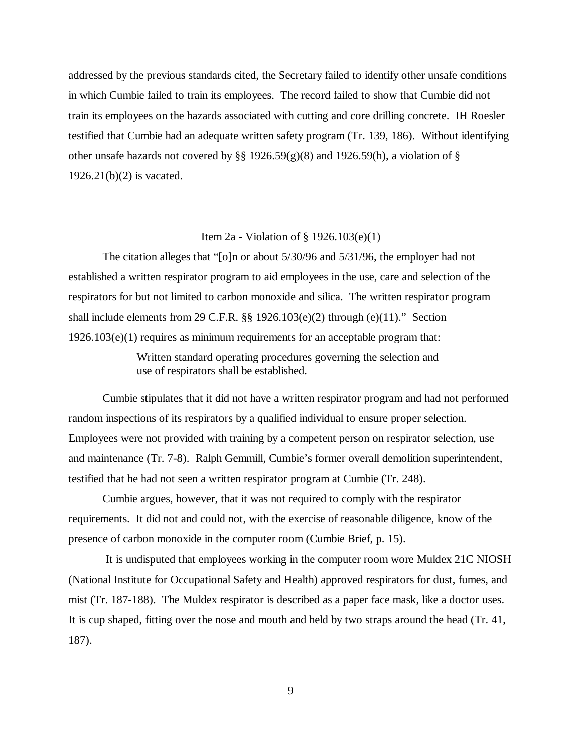addressed by the previous standards cited, the Secretary failed to identify other unsafe conditions in which Cumbie failed to train its employees. The record failed to show that Cumbie did not train its employees on the hazards associated with cutting and core drilling concrete. IH Roesler testified that Cumbie had an adequate written safety program (Tr. 139, 186). Without identifying other unsafe hazards not covered by §§ 1926.59(g)(8) and 1926.59(h), a violation of § 1926.21(b)(2) is vacated.

## Item 2a - Violation of § 1926.103(e)(1)

The citation alleges that "[o]n or about 5/30/96 and 5/31/96, the employer had not established a written respirator program to aid employees in the use, care and selection of the respirators for but not limited to carbon monoxide and silica. The written respirator program shall include elements from 29 C.F.R. §§ 1926.103(e)(2) through (e)(11)." Section  $1926.103(e)(1)$  requires as minimum requirements for an acceptable program that:

> Written standard operating procedures governing the selection and use of respirators shall be established.

Cumbie stipulates that it did not have a written respirator program and had not performed random inspections of its respirators by a qualified individual to ensure proper selection. Employees were not provided with training by a competent person on respirator selection, use and maintenance (Tr. 7-8). Ralph Gemmill, Cumbie's former overall demolition superintendent, testified that he had not seen a written respirator program at Cumbie (Tr. 248).

Cumbie argues, however, that it was not required to comply with the respirator requirements. It did not and could not, with the exercise of reasonable diligence, know of the presence of carbon monoxide in the computer room (Cumbie Brief, p. 15).

 It is undisputed that employees working in the computer room wore Muldex 21C NIOSH (National Institute for Occupational Safety and Health) approved respirators for dust, fumes, and mist (Tr. 187-188). The Muldex respirator is described as a paper face mask, like a doctor uses. It is cup shaped, fitting over the nose and mouth and held by two straps around the head (Tr. 41, 187).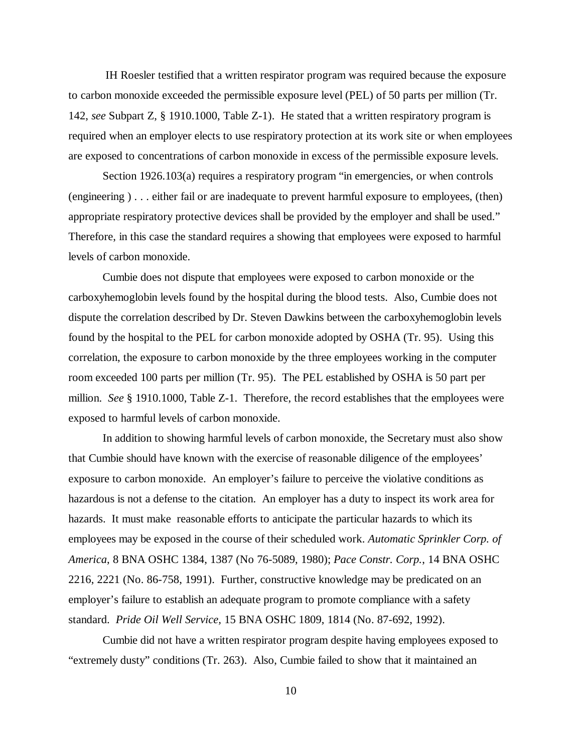IH Roesler testified that a written respirator program was required because the exposure to carbon monoxide exceeded the permissible exposure level (PEL) of 50 parts per million (Tr. 142, *see* Subpart Z, § 1910.1000, Table Z-1). He stated that a written respiratory program is required when an employer elects to use respiratory protection at its work site or when employees are exposed to concentrations of carbon monoxide in excess of the permissible exposure levels.

Section 1926.103(a) requires a respiratory program "in emergencies, or when controls (engineering ) . . . either fail or are inadequate to prevent harmful exposure to employees, (then) appropriate respiratory protective devices shall be provided by the employer and shall be used." Therefore, in this case the standard requires a showing that employees were exposed to harmful levels of carbon monoxide.

Cumbie does not dispute that employees were exposed to carbon monoxide or the carboxyhemoglobin levels found by the hospital during the blood tests. Also, Cumbie does not dispute the correlation described by Dr. Steven Dawkins between the carboxyhemoglobin levels found by the hospital to the PEL for carbon monoxide adopted by OSHA (Tr. 95). Using this correlation, the exposure to carbon monoxide by the three employees working in the computer room exceeded 100 parts per million (Tr. 95). The PEL established by OSHA is 50 part per million. *See* § 1910.1000, Table Z-1. Therefore, the record establishes that the employees were exposed to harmful levels of carbon monoxide.

In addition to showing harmful levels of carbon monoxide, the Secretary must also show that Cumbie should have known with the exercise of reasonable diligence of the employees' exposure to carbon monoxide. An employer's failure to perceive the violative conditions as hazardous is not a defense to the citation. An employer has a duty to inspect its work area for hazards. It must make reasonable efforts to anticipate the particular hazards to which its employees may be exposed in the course of their scheduled work. *Automatic Sprinkler Corp. of America*, 8 BNA OSHC 1384, 1387 (No 76-5089, 1980); *Pace Constr. Corp.*, 14 BNA OSHC 2216, 2221 (No. 86-758, 1991). Further, constructive knowledge may be predicated on an employer's failure to establish an adequate program to promote compliance with a safety standard. *Pride Oil Well Service,* 15 BNA OSHC 1809, 1814 (No. 87-692, 1992).

Cumbie did not have a written respirator program despite having employees exposed to "extremely dusty" conditions (Tr. 263). Also, Cumbie failed to show that it maintained an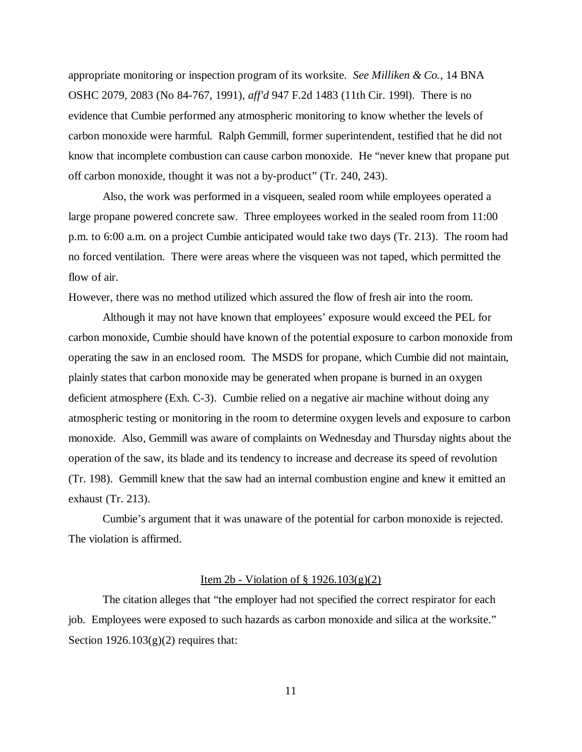appropriate monitoring or inspection program of its worksite. *See Milliken & Co.*, 14 BNA OSHC 2079, 2083 (No 84-767, 1991), *aff'd* 947 F.2d 1483 (11th Cir. 199l). There is no evidence that Cumbie performed any atmospheric monitoring to know whether the levels of carbon monoxide were harmful. Ralph Gemmill, former superintendent, testified that he did not know that incomplete combustion can cause carbon monoxide. He "never knew that propane put off carbon monoxide, thought it was not a by-product" (Tr. 240, 243).

Also, the work was performed in a visqueen, sealed room while employees operated a large propane powered concrete saw. Three employees worked in the sealed room from 11:00 p.m. to 6:00 a.m. on a project Cumbie anticipated would take two days (Tr. 213). The room had no forced ventilation. There were areas where the visqueen was not taped, which permitted the flow of air.

However, there was no method utilized which assured the flow of fresh air into the room.

Although it may not have known that employees' exposure would exceed the PEL for carbon monoxide, Cumbie should have known of the potential exposure to carbon monoxide from operating the saw in an enclosed room. The MSDS for propane, which Cumbie did not maintain, plainly states that carbon monoxide may be generated when propane is burned in an oxygen deficient atmosphere (Exh. C-3). Cumbie relied on a negative air machine without doing any atmospheric testing or monitoring in the room to determine oxygen levels and exposure to carbon monoxide. Also, Gemmill was aware of complaints on Wednesday and Thursday nights about the operation of the saw, its blade and its tendency to increase and decrease its speed of revolution (Tr. 198). Gemmill knew that the saw had an internal combustion engine and knew it emitted an exhaust (Tr. 213).

Cumbie's argument that it was unaware of the potential for carbon monoxide is rejected. The violation is affirmed.

## Item 2b - Violation of  $\S$  1926.103(g)(2)

The citation alleges that "the employer had not specified the correct respirator for each job. Employees were exposed to such hazards as carbon monoxide and silica at the worksite." Section  $1926.103(g)(2)$  requires that: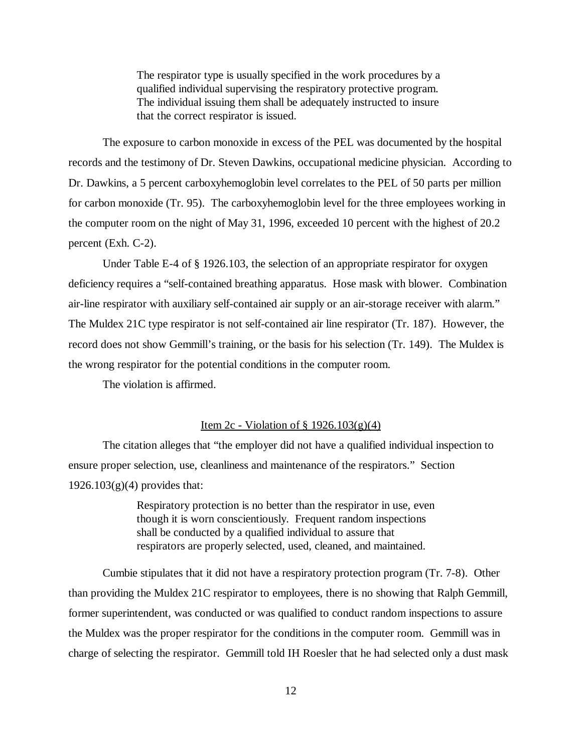The respirator type is usually specified in the work procedures by a qualified individual supervising the respiratory protective program. The individual issuing them shall be adequately instructed to insure that the correct respirator is issued.

The exposure to carbon monoxide in excess of the PEL was documented by the hospital records and the testimony of Dr. Steven Dawkins, occupational medicine physician. According to Dr. Dawkins, a 5 percent carboxyhemoglobin level correlates to the PEL of 50 parts per million for carbon monoxide (Tr. 95). The carboxyhemoglobin level for the three employees working in the computer room on the night of May 31, 1996, exceeded 10 percent with the highest of 20.2 percent (Exh. C-2).

Under Table E-4 of § 1926.103, the selection of an appropriate respirator for oxygen deficiency requires a "self-contained breathing apparatus. Hose mask with blower. Combination air-line respirator with auxiliary self-contained air supply or an air-storage receiver with alarm." The Muldex 21C type respirator is not self-contained air line respirator (Tr. 187). However, the record does not show Gemmill's training, or the basis for his selection (Tr. 149). The Muldex is the wrong respirator for the potential conditions in the computer room.

The violation is affirmed.

## Item 2c - Violation of  $\S$  1926.103(g)(4)

The citation alleges that "the employer did not have a qualified individual inspection to ensure proper selection, use, cleanliness and maintenance of the respirators." Section  $1926.103(g)(4)$  provides that:

> Respiratory protection is no better than the respirator in use, even though it is worn conscientiously. Frequent random inspections shall be conducted by a qualified individual to assure that respirators are properly selected, used, cleaned, and maintained.

Cumbie stipulates that it did not have a respiratory protection program (Tr. 7-8). Other than providing the Muldex 21C respirator to employees, there is no showing that Ralph Gemmill, former superintendent, was conducted or was qualified to conduct random inspections to assure the Muldex was the proper respirator for the conditions in the computer room. Gemmill was in charge of selecting the respirator. Gemmill told IH Roesler that he had selected only a dust mask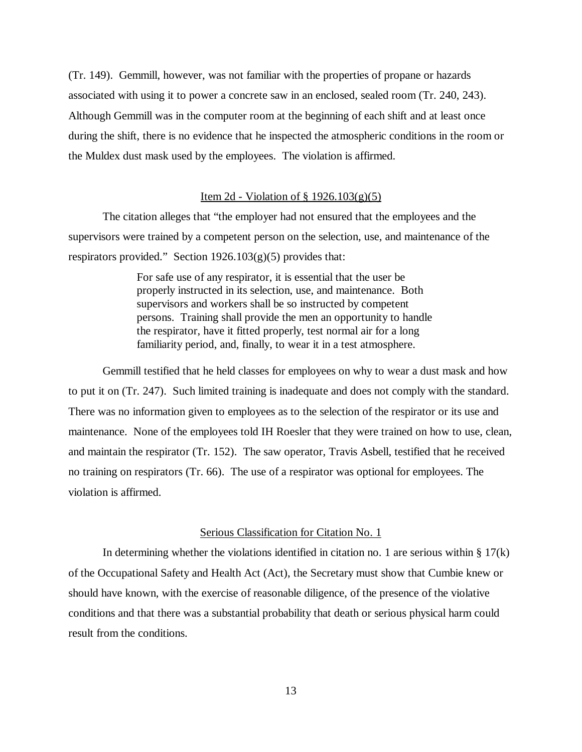(Tr. 149). Gemmill, however, was not familiar with the properties of propane or hazards associated with using it to power a concrete saw in an enclosed, sealed room (Tr. 240, 243). Although Gemmill was in the computer room at the beginning of each shift and at least once during the shift, there is no evidence that he inspected the atmospheric conditions in the room or the Muldex dust mask used by the employees. The violation is affirmed.

## Item 2d - Violation of § 1926.103(g)(5)

The citation alleges that "the employer had not ensured that the employees and the supervisors were trained by a competent person on the selection, use, and maintenance of the respirators provided." Section  $1926.103(g)(5)$  provides that:

> For safe use of any respirator, it is essential that the user be properly instructed in its selection, use, and maintenance. Both supervisors and workers shall be so instructed by competent persons. Training shall provide the men an opportunity to handle the respirator, have it fitted properly, test normal air for a long familiarity period, and, finally, to wear it in a test atmosphere.

Gemmill testified that he held classes for employees on why to wear a dust mask and how to put it on (Tr. 247). Such limited training is inadequate and does not comply with the standard. There was no information given to employees as to the selection of the respirator or its use and maintenance. None of the employees told IH Roesler that they were trained on how to use, clean, and maintain the respirator (Tr. 152). The saw operator, Travis Asbell, testified that he received no training on respirators (Tr. 66). The use of a respirator was optional for employees. The violation is affirmed.

## Serious Classification for Citation No. 1

In determining whether the violations identified in citation no. 1 are serious within  $\S 17(k)$ of the Occupational Safety and Health Act (Act), the Secretary must show that Cumbie knew or should have known, with the exercise of reasonable diligence, of the presence of the violative conditions and that there was a substantial probability that death or serious physical harm could result from the conditions.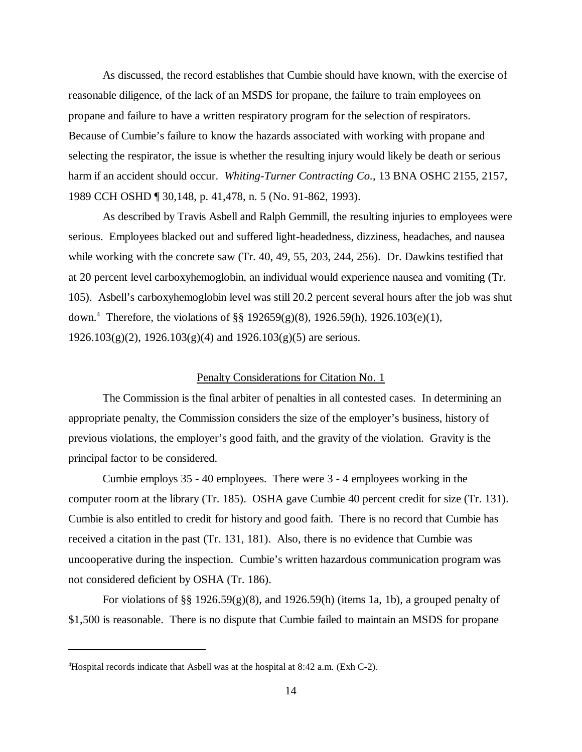As discussed, the record establishes that Cumbie should have known, with the exercise of reasonable diligence, of the lack of an MSDS for propane, the failure to train employees on propane and failure to have a written respiratory program for the selection of respirators. Because of Cumbie's failure to know the hazards associated with working with propane and selecting the respirator, the issue is whether the resulting injury would likely be death or serious harm if an accident should occur. *Whiting-Turner Contracting Co.*, 13 BNA OSHC 2155, 2157, 1989 CCH OSHD ¶ 30,148, p. 41,478, n. 5 (No. 91-862, 1993).

As described by Travis Asbell and Ralph Gemmill, the resulting injuries to employees were serious. Employees blacked out and suffered light-headedness, dizziness, headaches, and nausea while working with the concrete saw (Tr. 40, 49, 55, 203, 244, 256). Dr. Dawkins testified that at 20 percent level carboxyhemoglobin, an individual would experience nausea and vomiting (Tr. 105). Asbell's carboxyhemoglobin level was still 20.2 percent several hours after the job was shut down.<sup>4</sup> Therefore, the violations of §§ 192659(g)(8), 1926.59(h), 1926.103(e)(1),  $1926.103(g)(2)$ ,  $1926.103(g)(4)$  and  $1926.103(g)(5)$  are serious.

## Penalty Considerations for Citation No. 1

The Commission is the final arbiter of penalties in all contested cases. In determining an appropriate penalty, the Commission considers the size of the employer's business, history of previous violations, the employer's good faith, and the gravity of the violation. Gravity is the principal factor to be considered.

Cumbie employs 35 - 40 employees. There were 3 - 4 employees working in the computer room at the library (Tr. 185). OSHA gave Cumbie 40 percent credit for size (Tr. 131). Cumbie is also entitled to credit for history and good faith. There is no record that Cumbie has received a citation in the past (Tr. 131, 181). Also, there is no evidence that Cumbie was uncooperative during the inspection. Cumbie's written hazardous communication program was not considered deficient by OSHA (Tr. 186).

For violations of §§ 1926.59 $(g)(8)$ , and 1926.59(h) (items 1a, 1b), a grouped penalty of \$1,500 is reasonable. There is no dispute that Cumbie failed to maintain an MSDS for propane

<sup>4</sup>Hospital records indicate that Asbell was at the hospital at 8:42 a.m. (Exh C-2).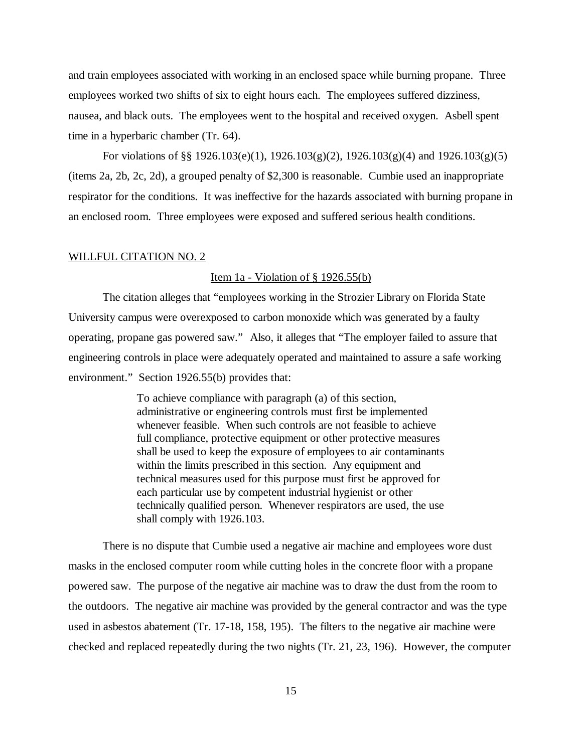and train employees associated with working in an enclosed space while burning propane. Three employees worked two shifts of six to eight hours each. The employees suffered dizziness, nausea, and black outs. The employees went to the hospital and received oxygen. Asbell spent time in a hyperbaric chamber (Tr. 64).

For violations of §§ 1926.103(e)(1), 1926.103(g)(2), 1926.103(g)(4) and 1926.103(g)(5) (items 2a, 2b, 2c, 2d), a grouped penalty of \$2,300 is reasonable. Cumbie used an inappropriate respirator for the conditions. It was ineffective for the hazards associated with burning propane in an enclosed room. Three employees were exposed and suffered serious health conditions.

## WILLFUL CITATION NO. 2

## Item 1a - Violation of  $\S$  1926.55(b)

The citation alleges that "employees working in the Strozier Library on Florida State University campus were overexposed to carbon monoxide which was generated by a faulty operating, propane gas powered saw." Also, it alleges that "The employer failed to assure that engineering controls in place were adequately operated and maintained to assure a safe working environment." Section 1926.55(b) provides that:

> To achieve compliance with paragraph (a) of this section, administrative or engineering controls must first be implemented whenever feasible. When such controls are not feasible to achieve full compliance, protective equipment or other protective measures shall be used to keep the exposure of employees to air contaminants within the limits prescribed in this section. Any equipment and technical measures used for this purpose must first be approved for each particular use by competent industrial hygienist or other technically qualified person. Whenever respirators are used, the use shall comply with 1926.103.

There is no dispute that Cumbie used a negative air machine and employees wore dust masks in the enclosed computer room while cutting holes in the concrete floor with a propane powered saw. The purpose of the negative air machine was to draw the dust from the room to the outdoors. The negative air machine was provided by the general contractor and was the type used in asbestos abatement (Tr. 17-18, 158, 195). The filters to the negative air machine were checked and replaced repeatedly during the two nights (Tr. 21, 23, 196). However, the computer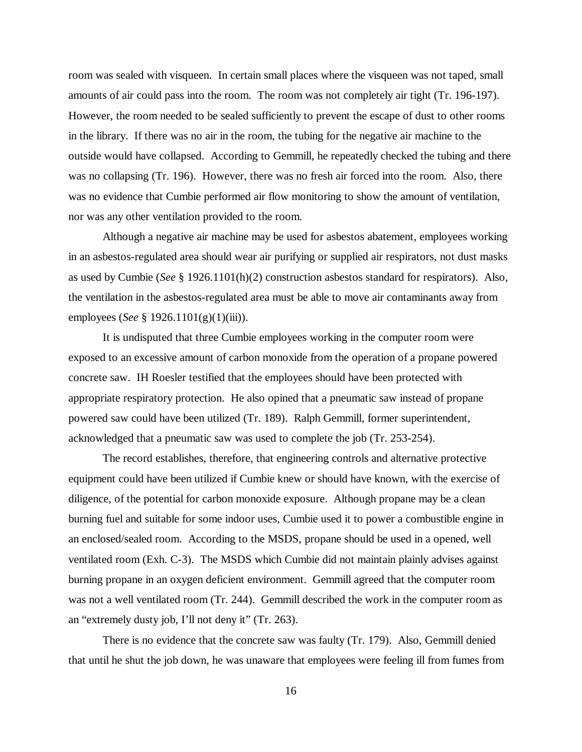room was sealed with visqueen. In certain small places where the visqueen was not taped, small amounts of air could pass into the room. The room was not completely air tight (Tr. 196-197). However, the room needed to be sealed sufficiently to prevent the escape of dust to other rooms in the library. If there was no air in the room, the tubing for the negative air machine to the outside would have collapsed. According to Gemmill, he repeatedly checked the tubing and there was no collapsing (Tr. 196). However, there was no fresh air forced into the room. Also, there was no evidence that Cumbie performed air flow monitoring to show the amount of ventilation, nor was any other ventilation provided to the room.

Although a negative air machine may be used for asbestos abatement, employees working in an asbestos-regulated area should wear air purifying or supplied air respirators, not dust masks as used by Cumbie (*See* § 1926.1101(h)(2) construction asbestos standard for respirators). Also, the ventilation in the asbestos-regulated area must be able to move air contaminants away from employees (*See* § 1926.1101(g)(1)(iii)).

It is undisputed that three Cumbie employees working in the computer room were exposed to an excessive amount of carbon monoxide from the operation of a propane powered concrete saw. IH Roesler testified that the employees should have been protected with appropriate respiratory protection. He also opined that a pneumatic saw instead of propane powered saw could have been utilized (Tr. 189). Ralph Gemmill, former superintendent, acknowledged that a pneumatic saw was used to complete the job (Tr. 253-254).

The record establishes, therefore, that engineering controls and alternative protective equipment could have been utilized if Cumbie knew or should have known, with the exercise of diligence, of the potential for carbon monoxide exposure. Although propane may be a clean burning fuel and suitable for some indoor uses, Cumbie used it to power a combustible engine in an enclosed/sealed room. According to the MSDS, propane should be used in a opened, well ventilated room (Exh. C-3). The MSDS which Cumbie did not maintain plainly advises against burning propane in an oxygen deficient environment. Gemmill agreed that the computer room was not a well ventilated room (Tr. 244). Gemmill described the work in the computer room as an "extremely dusty job, I'll not deny it" (Tr. 263).

There is no evidence that the concrete saw was faulty (Tr. 179). Also, Gemmill denied that until he shut the job down, he was unaware that employees were feeling ill from fumes from

16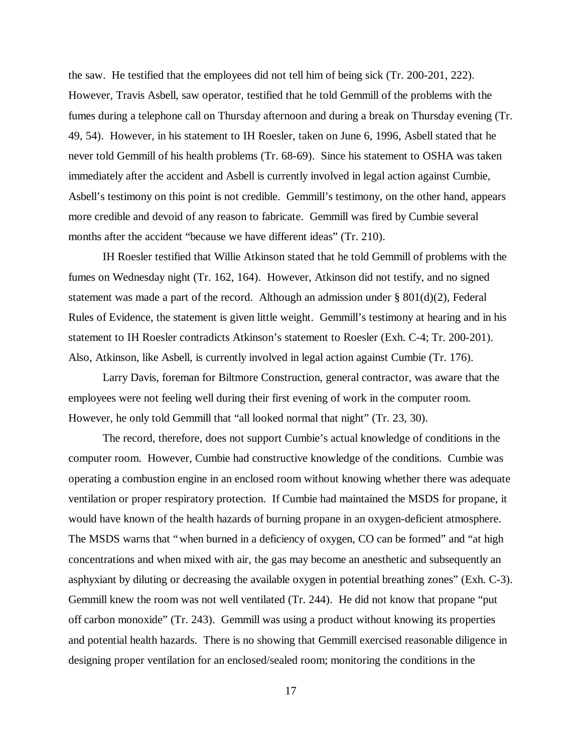the saw. He testified that the employees did not tell him of being sick (Tr. 200-201, 222). However, Travis Asbell, saw operator, testified that he told Gemmill of the problems with the fumes during a telephone call on Thursday afternoon and during a break on Thursday evening (Tr. 49, 54). However, in his statement to IH Roesler, taken on June 6, 1996, Asbell stated that he never told Gemmill of his health problems (Tr. 68-69). Since his statement to OSHA was taken immediately after the accident and Asbell is currently involved in legal action against Cumbie, Asbell's testimony on this point is not credible. Gemmill's testimony, on the other hand, appears more credible and devoid of any reason to fabricate. Gemmill was fired by Cumbie several months after the accident "because we have different ideas" (Tr. 210).

IH Roesler testified that Willie Atkinson stated that he told Gemmill of problems with the fumes on Wednesday night (Tr. 162, 164). However, Atkinson did not testify, and no signed statement was made a part of the record. Although an admission under § 801(d)(2), Federal Rules of Evidence, the statement is given little weight. Gemmill's testimony at hearing and in his statement to IH Roesler contradicts Atkinson's statement to Roesler (Exh. C-4; Tr. 200-201). Also, Atkinson, like Asbell, is currently involved in legal action against Cumbie (Tr. 176).

Larry Davis, foreman for Biltmore Construction, general contractor, was aware that the employees were not feeling well during their first evening of work in the computer room. However, he only told Gemmill that "all looked normal that night" (Tr. 23, 30).

The record, therefore, does not support Cumbie's actual knowledge of conditions in the computer room. However, Cumbie had constructive knowledge of the conditions. Cumbie was operating a combustion engine in an enclosed room without knowing whether there was adequate ventilation or proper respiratory protection. If Cumbie had maintained the MSDS for propane, it would have known of the health hazards of burning propane in an oxygen-deficient atmosphere. The MSDS warns that "when burned in a deficiency of oxygen, CO can be formed" and "at high concentrations and when mixed with air, the gas may become an anesthetic and subsequently an asphyxiant by diluting or decreasing the available oxygen in potential breathing zones" (Exh. C-3). Gemmill knew the room was not well ventilated (Tr. 244). He did not know that propane "put off carbon monoxide" (Tr. 243). Gemmill was using a product without knowing its properties and potential health hazards. There is no showing that Gemmill exercised reasonable diligence in designing proper ventilation for an enclosed/sealed room; monitoring the conditions in the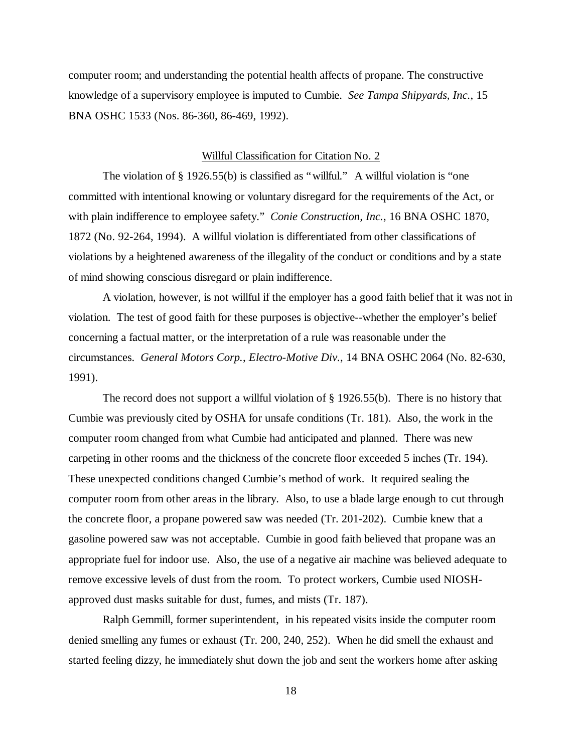computer room; and understanding the potential health affects of propane. The constructive knowledge of a supervisory employee is imputed to Cumbie. *See Tampa Shipyards, Inc.*, 15 BNA OSHC 1533 (Nos. 86-360, 86-469, 1992).

## Willful Classification for Citation No. 2

The violation of  $\S 1926.55(b)$  is classified as "willful." A willful violation is "one committed with intentional knowing or voluntary disregard for the requirements of the Act, or with plain indifference to employee safety." *Conie Construction, Inc.*, 16 BNA OSHC 1870, 1872 (No. 92-264, 1994). A willful violation is differentiated from other classifications of violations by a heightened awareness of the illegality of the conduct or conditions and by a state of mind showing conscious disregard or plain indifference.

A violation, however, is not willful if the employer has a good faith belief that it was not in violation. The test of good faith for these purposes is objective--whether the employer's belief concerning a factual matter, or the interpretation of a rule was reasonable under the circumstances. *General Motors Corp.*, *Electro-Motive Div.*, 14 BNA OSHC 2064 (No. 82-630, 1991).

The record does not support a willful violation of § 1926.55(b). There is no history that Cumbie was previously cited by OSHA for unsafe conditions (Tr. 181). Also, the work in the computer room changed from what Cumbie had anticipated and planned. There was new carpeting in other rooms and the thickness of the concrete floor exceeded 5 inches (Tr. 194). These unexpected conditions changed Cumbie's method of work. It required sealing the computer room from other areas in the library. Also, to use a blade large enough to cut through the concrete floor, a propane powered saw was needed (Tr. 201-202). Cumbie knew that a gasoline powered saw was not acceptable. Cumbie in good faith believed that propane was an appropriate fuel for indoor use. Also, the use of a negative air machine was believed adequate to remove excessive levels of dust from the room. To protect workers, Cumbie used NIOSHapproved dust masks suitable for dust, fumes, and mists (Tr. 187).

Ralph Gemmill, former superintendent, in his repeated visits inside the computer room denied smelling any fumes or exhaust (Tr. 200, 240, 252). When he did smell the exhaust and started feeling dizzy, he immediately shut down the job and sent the workers home after asking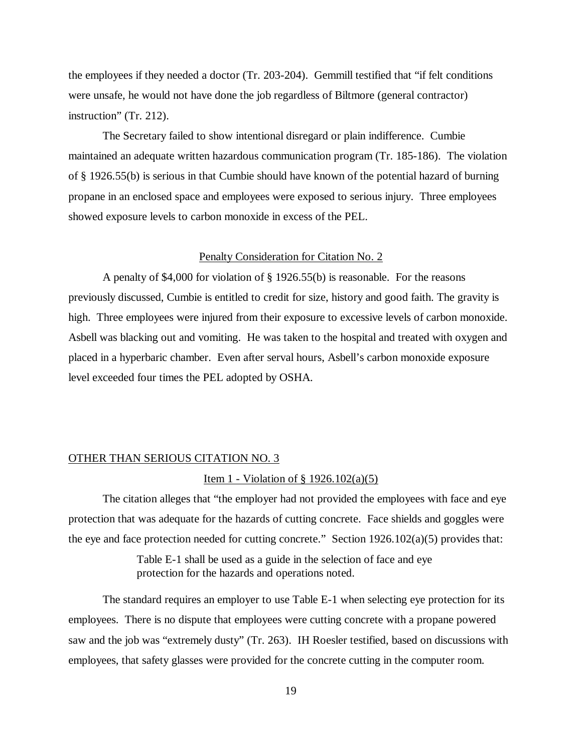the employees if they needed a doctor (Tr. 203-204). Gemmill testified that "if felt conditions were unsafe, he would not have done the job regardless of Biltmore (general contractor) instruction" (Tr. 212).

The Secretary failed to show intentional disregard or plain indifference. Cumbie maintained an adequate written hazardous communication program (Tr. 185-186). The violation of § 1926.55(b) is serious in that Cumbie should have known of the potential hazard of burning propane in an enclosed space and employees were exposed to serious injury. Three employees showed exposure levels to carbon monoxide in excess of the PEL.

#### Penalty Consideration for Citation No. 2

A penalty of \$4,000 for violation of § 1926.55(b) is reasonable. For the reasons previously discussed, Cumbie is entitled to credit for size, history and good faith. The gravity is high. Three employees were injured from their exposure to excessive levels of carbon monoxide. Asbell was blacking out and vomiting. He was taken to the hospital and treated with oxygen and placed in a hyperbaric chamber. Even after serval hours, Asbell's carbon monoxide exposure level exceeded four times the PEL adopted by OSHA.

## OTHER THAN SERIOUS CITATION NO. 3

#### Item 1 - Violation of § 1926.102(a)(5)

The citation alleges that "the employer had not provided the employees with face and eye protection that was adequate for the hazards of cutting concrete. Face shields and goggles were the eye and face protection needed for cutting concrete." Section  $1926.102(a)(5)$  provides that:

> Table E-1 shall be used as a guide in the selection of face and eye protection for the hazards and operations noted.

The standard requires an employer to use Table E-1 when selecting eye protection for its employees. There is no dispute that employees were cutting concrete with a propane powered saw and the job was "extremely dusty" (Tr. 263). IH Roesler testified, based on discussions with employees, that safety glasses were provided for the concrete cutting in the computer room.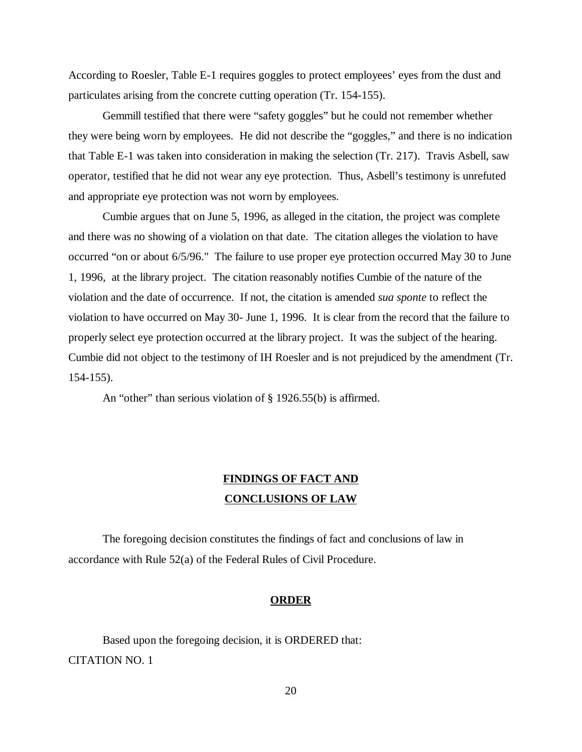According to Roesler, Table E-1 requires goggles to protect employees' eyes from the dust and particulates arising from the concrete cutting operation (Tr. 154-155).

Gemmill testified that there were "safety goggles" but he could not remember whether they were being worn by employees. He did not describe the "goggles," and there is no indication that Table E-1 was taken into consideration in making the selection (Tr. 217). Travis Asbell, saw operator, testified that he did not wear any eye protection. Thus, Asbell's testimony is unrefuted and appropriate eye protection was not worn by employees.

Cumbie argues that on June 5, 1996, as alleged in the citation, the project was complete and there was no showing of a violation on that date. The citation alleges the violation to have occurred "on or about 6/5/96." The failure to use proper eye protection occurred May 30 to June 1, 1996, at the library project. The citation reasonably notifies Cumbie of the nature of the violation and the date of occurrence. If not, the citation is amended *sua sponte* to reflect the violation to have occurred on May 30- June 1, 1996. It is clear from the record that the failure to properly select eye protection occurred at the library project. It was the subject of the hearing. Cumbie did not object to the testimony of IH Roesler and is not prejudiced by the amendment (Tr. 154-155).

An "other" than serious violation of § 1926.55(b) is affirmed.

# **FINDINGS OF FACT AND CONCLUSIONS OF LAW**

The foregoing decision constitutes the findings of fact and conclusions of law in accordance with Rule 52(a) of the Federal Rules of Civil Procedure.

## **ORDER**

Based upon the foregoing decision, it is ORDERED that: CITATION NO. 1